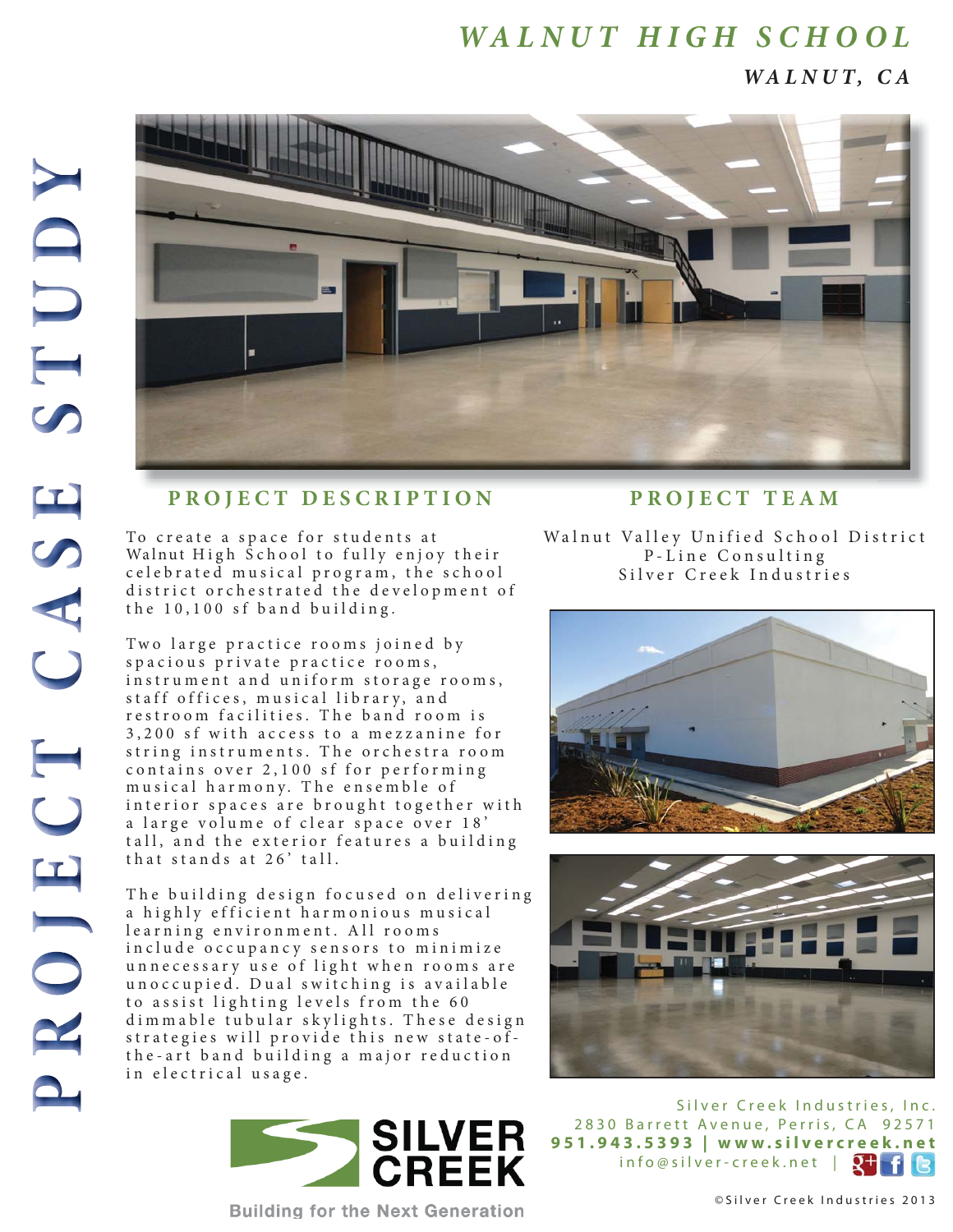*WALNUT, CA*



## **PROJECT DESCRIPTION**

To create a space for students at Walnut High School to fully enjoy their c e l e b r a t e d musical program, the school district orchestrated the development of the  $10, 100$  sf band building.

Two large practice rooms joined by spacious private practice rooms, instrument and uniform storage rooms, staff offices, musical library, and restroom facilities. The band room is 3, 200 sf with access to a mezzanine for string instruments. The orchestra room contains over 2,100 sf for performing musical harmony. The ensemble of interior spaces are brought together with a large volume of clear space over 18' tall, and the exterior features a building that stands at 26' tall.

The building design focused on delivering a highly efficient harmonious musical learning environment. All rooms in clude occupancy sensors to minimize unnecessary use of light when rooms are uno c c u p i e d. D u a l s w i t c h i n g i s a v a i l a b l e to assist lighting levels from the 60 dim mable tubular skylights. These design strategies will provide this new state-ofthe-art band building a major reduction in electrical usage.



**Building for the Next Generation** 

## **PROJECT TEAM**

Walnut Valley Unified School District P-Line Consulting Silver Creek Industries





Silver Creek Industries, Inc. 2830 Barrett Avenue, Perris, CA 92571 **951.943.5393 | www.silvercreek.net** info@silver-creek.net | 2<sup>+</sup>

©Silver Creek Industries 2013